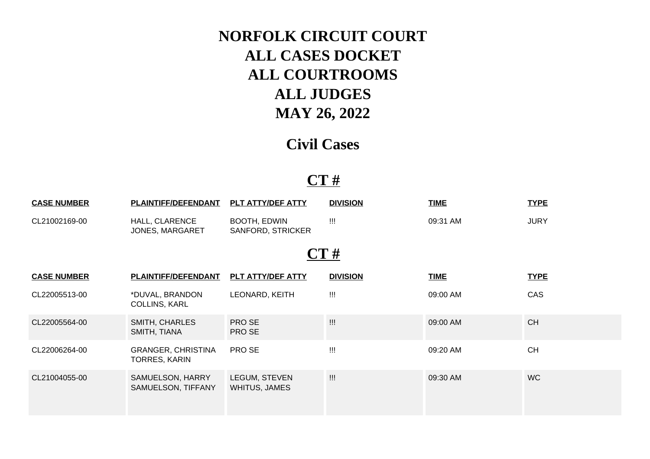# **NORFOLK CIRCUIT COURT ALL CASES DOCKET ALL COURTROOMS ALL JUDGES MAY 26, 2022**

## **Civil Cases**

#### **CT #**

| <b>CASE NUMBER</b> | <b>PLAINTIFF/DEFENDANT</b>                        | PLT ATTY/DEF ATTY                 | <b>DIVISION</b>   | <b>TIME</b> | <b>TYPE</b> |  |  |  |  |
|--------------------|---------------------------------------------------|-----------------------------------|-------------------|-------------|-------------|--|--|--|--|
| CL21002169-00      | HALL, CLARENCE<br>JONES, MARGARET                 | BOOTH, EDWIN<br>SANFORD, STRICKER | $\prod_{i=1}^{n}$ | 09:31 AM    | <b>JURY</b> |  |  |  |  |
| CT#                |                                                   |                                   |                   |             |             |  |  |  |  |
| <b>CASE NUMBER</b> | PLAINTIFF/DEFENDANT                               | <b>PLT ATTY/DEF ATTY</b>          | <b>DIVISION</b>   | <b>TIME</b> | <b>TYPE</b> |  |  |  |  |
| CL22005513-00      | *DUVAL, BRANDON<br><b>COLLINS, KARL</b>           | LEONARD, KEITH                    | !!!               | 09:00 AM    | CAS         |  |  |  |  |
| CL22005564-00      | SMITH, CHARLES<br>SMITH, TIANA                    | PRO SE<br>PRO SE                  | $\prod_{i=1}^{n}$ | 09:00 AM    | <b>CH</b>   |  |  |  |  |
| CL22006264-00      | <b>GRANGER, CHRISTINA</b><br><b>TORRES, KARIN</b> | PRO SE                            | $\prod_{i=1}^{n}$ | 09:20 AM    | <b>CH</b>   |  |  |  |  |
| CL21004055-00      | SAMUELSON, HARRY<br>SAMUELSON, TIFFANY            | LEGUM, STEVEN<br>WHITUS, JAMES    | $\mathbf{III}$    | 09:30 AM    | <b>WC</b>   |  |  |  |  |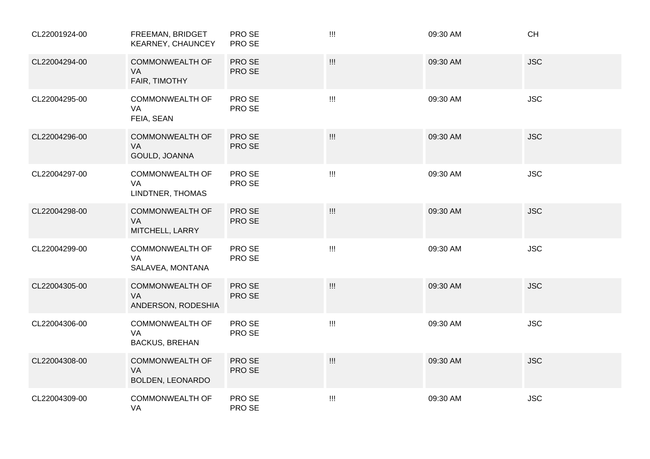| CL22001924-00 | FREEMAN, BRIDGET<br>KEARNEY, CHAUNCEY                   | PRO SE<br>PRO SE | $\mathbf{III}$                                                                                                                                                                                                                                                                                                                                                               | 09:30 AM | <b>CH</b>  |
|---------------|---------------------------------------------------------|------------------|------------------------------------------------------------------------------------------------------------------------------------------------------------------------------------------------------------------------------------------------------------------------------------------------------------------------------------------------------------------------------|----------|------------|
| CL22004294-00 | <b>COMMONWEALTH OF</b><br>VA<br>FAIR, TIMOTHY           | PRO SE<br>PRO SE | $\prod_{i=1}^n \mathbb{I}_i$                                                                                                                                                                                                                                                                                                                                                 | 09:30 AM | <b>JSC</b> |
| CL22004295-00 | <b>COMMONWEALTH OF</b><br><b>VA</b><br>FEIA, SEAN       | PRO SE<br>PRO SE | $\prod_{i=1}^{n}$                                                                                                                                                                                                                                                                                                                                                            | 09:30 AM | <b>JSC</b> |
| CL22004296-00 | <b>COMMONWEALTH OF</b><br>VA<br>GOULD, JOANNA           | PRO SE<br>PRO SE | $\quad \quad \text{III}$                                                                                                                                                                                                                                                                                                                                                     | 09:30 AM | <b>JSC</b> |
| CL22004297-00 | <b>COMMONWEALTH OF</b><br>VA<br>LINDTNER, THOMAS        | PRO SE<br>PRO SE | $\mathbf{III}$                                                                                                                                                                                                                                                                                                                                                               | 09:30 AM | <b>JSC</b> |
| CL22004298-00 | <b>COMMONWEALTH OF</b><br>VA<br>MITCHELL, LARRY         | PRO SE<br>PRO SE | $\prod_{i=1}^n \mathbb{I}_i$                                                                                                                                                                                                                                                                                                                                                 | 09:30 AM | <b>JSC</b> |
| CL22004299-00 | <b>COMMONWEALTH OF</b><br>VA<br>SALAVEA, MONTANA        | PRO SE<br>PRO SE | $\quad \quad \text{III}$                                                                                                                                                                                                                                                                                                                                                     | 09:30 AM | <b>JSC</b> |
| CL22004305-00 | <b>COMMONWEALTH OF</b><br>VA<br>ANDERSON, RODESHIA      | PRO SE<br>PRO SE | $\prod_{i=1}^{n} \frac{1}{i} \prod_{i=1}^{n} \frac{1}{i} \prod_{i=1}^{n} \frac{1}{i} \prod_{i=1}^{n} \frac{1}{i} \prod_{i=1}^{n} \frac{1}{i} \prod_{i=1}^{n} \frac{1}{i} \prod_{i=1}^{n} \frac{1}{i} \prod_{i=1}^{n} \frac{1}{i} \prod_{i=1}^{n} \frac{1}{i} \prod_{i=1}^{n} \frac{1}{i} \prod_{i=1}^{n} \frac{1}{i} \prod_{i=1}^{n} \frac{1}{i} \prod_{i=1}^{n} \frac{1}{i$ | 09:30 AM | <b>JSC</b> |
| CL22004306-00 | <b>COMMONWEALTH OF</b><br>VA<br><b>BACKUS, BREHAN</b>   | PRO SE<br>PRO SE | $\prod_{i=1}^{n}$                                                                                                                                                                                                                                                                                                                                                            | 09:30 AM | <b>JSC</b> |
| CL22004308-00 | <b>COMMONWEALTH OF</b><br><b>VA</b><br>BOLDEN, LEONARDO | PRO SE<br>PRO SE | $\quad \quad \text{III}$                                                                                                                                                                                                                                                                                                                                                     | 09:30 AM | <b>JSC</b> |
| CL22004309-00 | <b>COMMONWEALTH OF</b><br>VA                            | PRO SE<br>PRO SE | $\mathbf{III}$                                                                                                                                                                                                                                                                                                                                                               | 09:30 AM | <b>JSC</b> |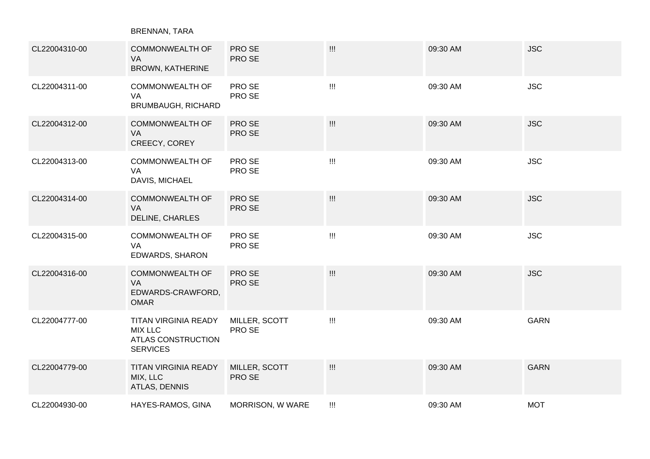BRENNAN, TARA

| CL22004310-00 | <b>COMMONWEALTH OF</b><br>VA<br>BROWN, KATHERINE                                       | PRO SE<br>PRO SE        | $\prod_{i=1}^{n}$                                                                                       | 09:30 AM | <b>JSC</b>  |
|---------------|----------------------------------------------------------------------------------------|-------------------------|---------------------------------------------------------------------------------------------------------|----------|-------------|
| CL22004311-00 | <b>COMMONWEALTH OF</b><br>VA<br><b>BRUMBAUGH, RICHARD</b>                              | PRO SE<br>PRO SE        | $\prod_{i=1}^{n} \left\{ \begin{array}{l} 0 & \text{if } i \in \mathbb{N} \right\} \end{array} \right.$ | 09:30 AM | <b>JSC</b>  |
| CL22004312-00 | <b>COMMONWEALTH OF</b><br>VA<br>CREECY, COREY                                          | PRO SE<br>PRO SE        | $\prod_{i=1}^{n}$                                                                                       | 09:30 AM | <b>JSC</b>  |
| CL22004313-00 | <b>COMMONWEALTH OF</b><br>VA<br>DAVIS, MICHAEL                                         | PRO SE<br>PRO SE        | $\prod_{i=1}^{n} \left\{ \begin{array}{l} 0 & \text{if } i \in \mathbb{N} \right\} \end{array} \right.$ | 09:30 AM | <b>JSC</b>  |
| CL22004314-00 | <b>COMMONWEALTH OF</b><br><b>VA</b><br>DELINE, CHARLES                                 | PRO SE<br>PRO SE        | $\prod_{i=1}^{n}$                                                                                       | 09:30 AM | <b>JSC</b>  |
| CL22004315-00 | <b>COMMONWEALTH OF</b><br>VA<br>EDWARDS, SHARON                                        | PRO SE<br>PRO SE        | $\prod_{i=1}^{n}$                                                                                       | 09:30 AM | <b>JSC</b>  |
| CL22004316-00 | <b>COMMONWEALTH OF</b><br>VA<br>EDWARDS-CRAWFORD,<br><b>OMAR</b>                       | PRO SE<br>PRO SE        | $\prod_{i=1}^{n}$                                                                                       | 09:30 AM | <b>JSC</b>  |
| CL22004777-00 | TITAN VIRGINIA READY<br><b>MIX LLC</b><br><b>ATLAS CONSTRUCTION</b><br><b>SERVICES</b> | MILLER, SCOTT<br>PRO SE | $\prod_{i=1}^{n}$                                                                                       | 09:30 AM | <b>GARN</b> |
| CL22004779-00 | <b>TITAN VIRGINIA READY</b><br>MIX, LLC<br>ATLAS, DENNIS                               | MILLER, SCOTT<br>PRO SE |                                                                                                         | 09:30 AM | <b>GARN</b> |
| CL22004930-00 | HAYES-RAMOS, GINA                                                                      | MORRISON, W WARE        | $\prod_{i=1}^{n}$                                                                                       | 09:30 AM | <b>MOT</b>  |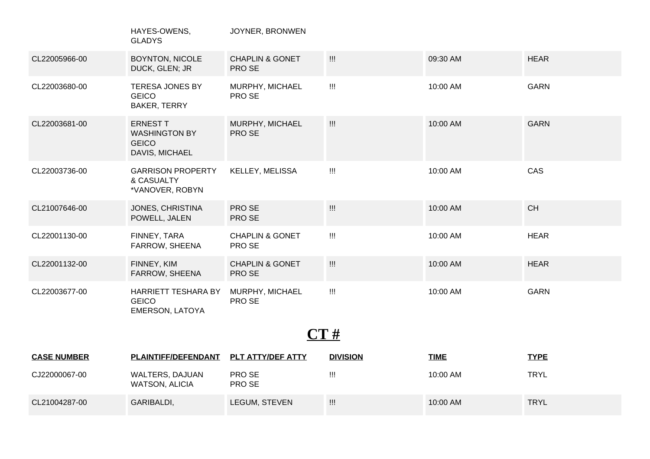|                    | HAYES-OWENS,<br><b>GLADYS</b>                                             | JOYNER, BRONWEN                      |                                               |             |             |  |  |  |
|--------------------|---------------------------------------------------------------------------|--------------------------------------|-----------------------------------------------|-------------|-------------|--|--|--|
| CL22005966-00      | <b>BOYNTON, NICOLE</b><br>DUCK, GLEN; JR                                  | <b>CHAPLIN &amp; GONET</b><br>PRO SE | $\prod_{i=1}^n \frac{1}{i!}$                  | 09:30 AM    | <b>HEAR</b> |  |  |  |
| CL22003680-00      | <b>TERESA JONES BY</b><br><b>GEICO</b><br>BAKER, TERRY                    | MURPHY, MICHAEL<br>PRO SE            | $\quad \quad \  \  \, \mathord{\mathsf{III}}$ | 10:00 AM    | <b>GARN</b> |  |  |  |
| CL22003681-00      | <b>ERNEST T</b><br><b>WASHINGTON BY</b><br><b>GEICO</b><br>DAVIS, MICHAEL | MURPHY, MICHAEL<br>PRO SE            |                                               | 10:00 AM    | <b>GARN</b> |  |  |  |
| CL22003736-00      | <b>GARRISON PROPERTY</b><br>& CASUALTY<br>*VANOVER, ROBYN                 | KELLEY, MELISSA                      | $\mathbf{III}$                                | 10:00 AM    | CAS         |  |  |  |
| CL21007646-00      | JONES, CHRISTINA<br>POWELL, JALEN                                         | PRO SE<br>PRO SE                     | $\mathop{\mathop{\mathrm{III}}}\nolimits$     | 10:00 AM    | CH          |  |  |  |
| CL22001130-00      | FINNEY, TARA<br>FARROW, SHEENA                                            | <b>CHAPLIN &amp; GONET</b><br>PRO SE | $\prod_{i=1}^{n}$                             | 10:00 AM    | <b>HEAR</b> |  |  |  |
| CL22001132-00      | FINNEY, KIM<br>FARROW, SHEENA                                             | <b>CHAPLIN &amp; GONET</b><br>PRO SE |                                               | 10:00 AM    | <b>HEAR</b> |  |  |  |
| CL22003677-00      | HARRIETT TESHARA BY<br><b>GEICO</b><br><b>EMERSON, LATOYA</b>             | MURPHY, MICHAEL<br>PRO SE            | $\mathbf{III}$                                | 10:00 AM    | <b>GARN</b> |  |  |  |
| CT#                |                                                                           |                                      |                                               |             |             |  |  |  |
| <b>CASE NUMBER</b> | <b>PLAINTIFF/DEFENDANT</b>                                                | PLT ATTY/DEF ATTY                    | <b>DIVISION</b>                               | <b>TIME</b> | <b>TYPE</b> |  |  |  |
| CJ22000067-00      | WALTERS, DAJUAN<br><b>WATSON, ALICIA</b>                                  | PRO SE<br>PRO SE                     | $\mathop{\mathrm{III}}\nolimits$              | 10:00 AM    | <b>TRYL</b> |  |  |  |
| CL21004287-00      | GARIBALDI,                                                                | LEGUM, STEVEN                        | $\prod_{i=1}^{n}$                             | 10:00 AM    | <b>TRYL</b> |  |  |  |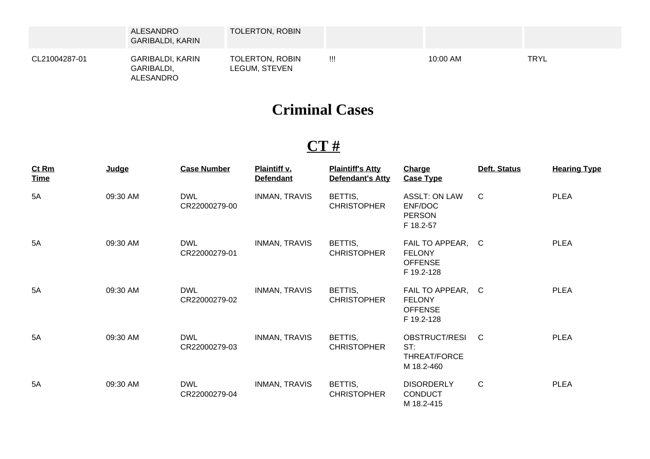|               | ALESANDRO<br><b>GARIBALDI, KARIN</b>               | <b>TOLERTON, ROBIN</b>           |   |          |             |
|---------------|----------------------------------------------------|----------------------------------|---|----------|-------------|
| CL21004287-01 | GARIBALDI, KARIN<br>GARIBALDI,<br><b>ALESANDRO</b> | TOLERTON, ROBIN<br>LEGUM, STEVEN | W | 10:00 AM | <b>TRYL</b> |

# **Criminal Cases**

### **CT #**

| $Ct$ Rm<br><u>Time</u> | Judge    | <b>Case Number</b>          | Plaintiff v.<br><b>Defendant</b> | <b>Plaintiff's Atty</b><br>Defendant's Atty | <b>Charge</b><br><b>Case Type</b>                                  | Deft. Status | <b>Hearing Type</b> |
|------------------------|----------|-----------------------------|----------------------------------|---------------------------------------------|--------------------------------------------------------------------|--------------|---------------------|
| 5A                     | 09:30 AM | <b>DWL</b><br>CR22000279-00 | <b>INMAN, TRAVIS</b>             | BETTIS,<br><b>CHRISTOPHER</b>               | <b>ASSLT: ON LAW</b><br>ENF/DOC<br><b>PERSON</b><br>F 18.2-57      | $\mathsf{C}$ | <b>PLEA</b>         |
| 5A                     | 09:30 AM | <b>DWL</b><br>CR22000279-01 | <b>INMAN, TRAVIS</b>             | BETTIS,<br><b>CHRISTOPHER</b>               | FAIL TO APPEAR, C<br><b>FELONY</b><br><b>OFFENSE</b><br>F 19.2-128 |              | <b>PLEA</b>         |
| 5A                     | 09:30 AM | <b>DWL</b><br>CR22000279-02 | <b>INMAN, TRAVIS</b>             | BETTIS,<br><b>CHRISTOPHER</b>               | FAIL TO APPEAR, C<br><b>FELONY</b><br><b>OFFENSE</b><br>F 19.2-128 |              | <b>PLEA</b>         |
| 5A                     | 09:30 AM | DWL<br>CR22000279-03        | <b>INMAN, TRAVIS</b>             | BETTIS,<br><b>CHRISTOPHER</b>               | OBSTRUCT/RESI C<br>ST:<br>THREAT/FORCE<br>M 18.2-460               |              | <b>PLEA</b>         |
| 5A                     | 09:30 AM | <b>DWL</b><br>CR22000279-04 | <b>INMAN, TRAVIS</b>             | BETTIS,<br><b>CHRISTOPHER</b>               | <b>DISORDERLY</b><br><b>CONDUCT</b><br>M 18.2-415                  | $\mathsf{C}$ | <b>PLEA</b>         |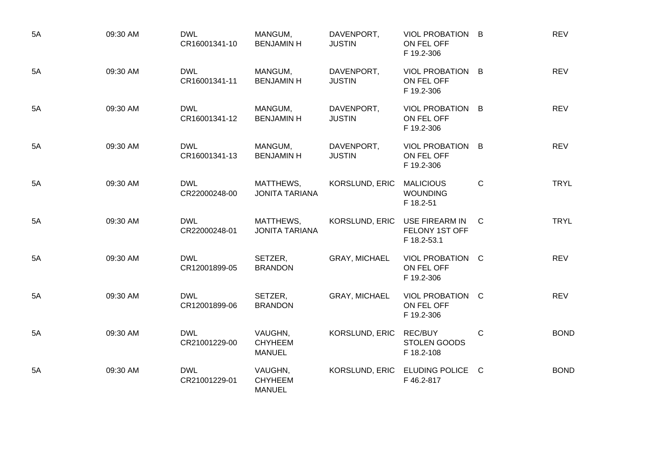| 5A | 09:30 AM | <b>DWL</b><br>CR16001341-10 | MANGUM,<br><b>BENJAMIN H</b>               | DAVENPORT,<br><b>JUSTIN</b> | VIOL PROBATION B<br>ON FEL OFF<br>F 19.2-306     |              | <b>REV</b>  |
|----|----------|-----------------------------|--------------------------------------------|-----------------------------|--------------------------------------------------|--------------|-------------|
| 5A | 09:30 AM | <b>DWL</b><br>CR16001341-11 | MANGUM,<br><b>BENJAMIN H</b>               | DAVENPORT,<br><b>JUSTIN</b> | VIOL PROBATION B<br>ON FEL OFF<br>F 19.2-306     |              | <b>REV</b>  |
| 5A | 09:30 AM | <b>DWL</b><br>CR16001341-12 | MANGUM,<br><b>BENJAMIN H</b>               | DAVENPORT,<br><b>JUSTIN</b> | VIOL PROBATION B<br>ON FEL OFF<br>F 19.2-306     |              | <b>REV</b>  |
| 5A | 09:30 AM | <b>DWL</b><br>CR16001341-13 | MANGUM,<br><b>BENJAMIN H</b>               | DAVENPORT,<br><b>JUSTIN</b> | VIOL PROBATION B<br>ON FEL OFF<br>F 19.2-306     |              | <b>REV</b>  |
| 5A | 09:30 AM | <b>DWL</b><br>CR22000248-00 | MATTHEWS,<br><b>JONITA TARIANA</b>         | <b>KORSLUND, ERIC</b>       | <b>MALICIOUS</b><br><b>WOUNDING</b><br>F 18.2-51 | C            | <b>TRYL</b> |
| 5A | 09:30 AM | <b>DWL</b><br>CR22000248-01 | MATTHEWS,<br><b>JONITA TARIANA</b>         | KORSLUND, ERIC              | USE FIREARM IN<br>FELONY 1ST OFF<br>F 18.2-53.1  | C            | <b>TRYL</b> |
| 5A | 09:30 AM | <b>DWL</b><br>CR12001899-05 | SETZER,<br><b>BRANDON</b>                  | <b>GRAY, MICHAEL</b>        | VIOL PROBATION C<br>ON FEL OFF<br>F 19.2-306     |              | <b>REV</b>  |
| 5A | 09:30 AM | <b>DWL</b><br>CR12001899-06 | SETZER,<br><b>BRANDON</b>                  | <b>GRAY, MICHAEL</b>        | VIOL PROBATION C<br>ON FEL OFF<br>F 19.2-306     |              | <b>REV</b>  |
| 5A | 09:30 AM | <b>DWL</b><br>CR21001229-00 | VAUGHN,<br><b>CHYHEEM</b><br><b>MANUEL</b> | KORSLUND, ERIC              | REC/BUY<br><b>STOLEN GOODS</b><br>F 18.2-108     | $\mathsf{C}$ | <b>BOND</b> |
| 5A | 09:30 AM | <b>DWL</b><br>CR21001229-01 | VAUGHN,<br><b>CHYHEEM</b><br><b>MANUEL</b> | KORSLUND, ERIC              | ELUDING POLICE C<br>F 46.2-817                   |              | <b>BOND</b> |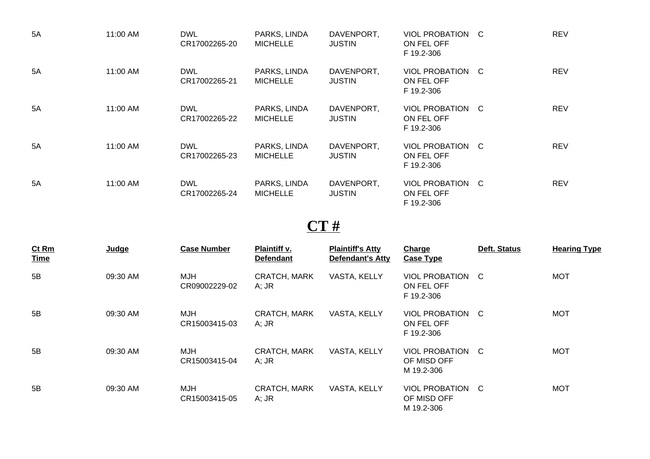| 5A | 11:00 AM | <b>DWL</b><br>CR17002265-20 | PARKS, LINDA<br><b>MICHELLE</b> | DAVENPORT,<br><b>JUSTIN</b> | VIOL PROBATION C<br>ON FEL OFF<br>F 19.2-306 | <b>REV</b> |
|----|----------|-----------------------------|---------------------------------|-----------------------------|----------------------------------------------|------------|
| 5A | 11:00 AM | <b>DWL</b><br>CR17002265-21 | PARKS, LINDA<br><b>MICHELLE</b> | DAVENPORT,<br><b>JUSTIN</b> | VIOL PROBATION C<br>ON FEL OFF<br>F 19.2-306 | <b>REV</b> |
| 5A | 11:00 AM | <b>DWL</b><br>CR17002265-22 | PARKS, LINDA<br><b>MICHELLE</b> | DAVENPORT,<br><b>JUSTIN</b> | VIOL PROBATION C<br>ON FEL OFF<br>F 19.2-306 | <b>REV</b> |
| 5A | 11:00 AM | <b>DWL</b><br>CR17002265-23 | PARKS, LINDA<br><b>MICHELLE</b> | DAVENPORT,<br><b>JUSTIN</b> | VIOL PROBATION C<br>ON FEL OFF<br>F 19.2-306 | <b>REV</b> |
| 5A | 11:00 AM | <b>DWL</b><br>CR17002265-24 | PARKS, LINDA<br><b>MICHELLE</b> | DAVENPORT,<br><b>JUSTIN</b> | VIOL PROBATION C<br>ON FEL OFF<br>F 19.2-306 | <b>REV</b> |

### **CT #**

| Ct Rm<br><b>Time</b> | Judge    | <b>Case Number</b>          | Plaintiff v.<br><b>Defendant</b> | <b>Plaintiff's Atty</b><br>Defendant's Atty | <b>Charge</b><br><b>Case Type</b>             | Deft. Status | <b>Hearing Type</b> |
|----------------------|----------|-----------------------------|----------------------------------|---------------------------------------------|-----------------------------------------------|--------------|---------------------|
| 5B                   | 09:30 AM | <b>MJH</b><br>CR09002229-02 | <b>CRATCH, MARK</b><br>$A;$ JR   | VASTA, KELLY                                | VIOL PROBATION C<br>ON FEL OFF<br>F 19.2-306  |              | <b>MOT</b>          |
| 5B                   | 09:30 AM | MJH<br>CR15003415-03        | <b>CRATCH, MARK</b><br>A; JR     | VASTA, KELLY                                | VIOL PROBATION C<br>ON FEL OFF<br>F 19.2-306  |              | <b>MOT</b>          |
| 5B                   | 09:30 AM | MJH<br>CR15003415-04        | <b>CRATCH, MARK</b><br>$A;$ JR   | VASTA, KELLY                                | VIOL PROBATION C<br>OF MISD OFF<br>M 19.2-306 |              | <b>MOT</b>          |
| 5B                   | 09:30 AM | MJH<br>CR15003415-05        | <b>CRATCH, MARK</b><br>$A;$ JR   | VASTA, KELLY                                | VIOL PROBATION C<br>OF MISD OFF<br>M 19.2-306 |              | <b>MOT</b>          |